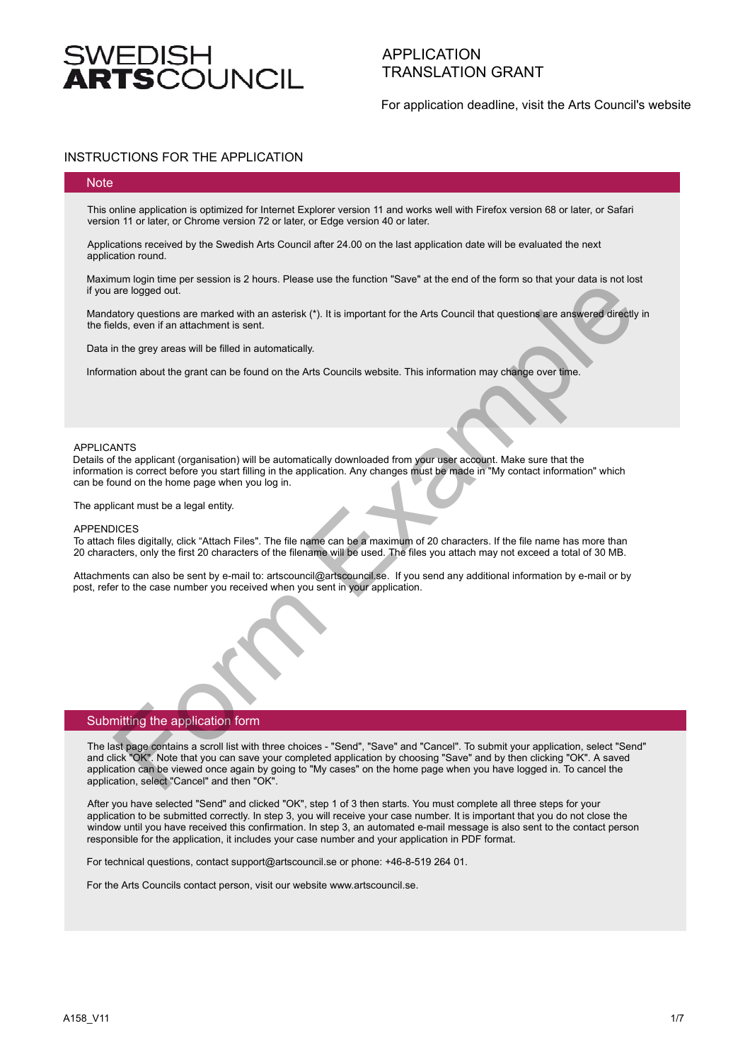# $\overline{\textbf{T}}$ SCOLINCIL

## APPLICATION TRANSLATION GRANT

For application deadline, visit the Arts Council's website

### INSTRUCTIONS FOR THE APPLICATION

#### **Note**

This online application is optimized for Internet Explorer version 11 and works well with Firefox version 68 or later, or Safari version 11 or later, or Chrome version 72 or later, or Edge version 40 or later.

Applications received by the Swedish Arts Council after 24.00 on the last application date will be evaluated the next application round.

Maximum login time per session is 2 hours. Please use the function "Save" at the end of the form so that your data is not lost if you are logged out.

Mandatory questions are marked with an asterisk (\*). It is important for the Arts Council that questions are answered directly in the fields, even if an attachment is sent.

Data in the grey areas will be filled in automatically.

Information about the grant can be found on the Arts Councils website. This information may change over time.

#### APPLICANTS

Details of the applicant (organisation) will be automatically downloaded from your user account. Make sure that the information is correct before you start filling in the application. Any changes must be made in "My contact information" which can be found on the home page when you log in.

The applicant must be a legal entity.

#### **APPENDICES**

To attach files digitally, click "Attach Files". The file name can be a maximum of 20 characters. If the file name has more than 20 characters, only the first 20 characters of the filename will be used. The files you attach may not exceed a total of 30 MB.

Attachments can also be sent by e-mail to: artscouncil@artscouncil.se. If you send any additional information by e-mail or by post, refer to the case number you received when you sent in your application.



n The last page contains a scroll list with three choices - "Send", "Save" and "Cancel". To submit your application, select "Send" and click "OK". Note that you can save your completed application by choosing "Save" and by then clicking "OK". A saved application can be viewed once again by going to "My cases" on the home page when you have logged in. To cancel the application, select "Cancel" and then "OK". on the priority of the season is 2 nous, rease use the tunction save at the end of the Distribution are an advertised and the properties are presented with an antierist (\*). It is important for the Arts Council that questi

After you have selected "Send" and clicked "OK", step 1 of 3 then starts. You must complete all three steps for your application to be submitted correctly. In step 3, you will receive your case number. It is important that you do not close the window until you have received this confirmation. In step 3, an automated e-mail message is also sent to the contact person responsible for the application, it includes your case number and your application in PDF format.

For technical questions, contact support@artscouncil.se or phone: +46-8-519 264 01.

For the Arts Councils contact person, visit our website www.artscouncil.se.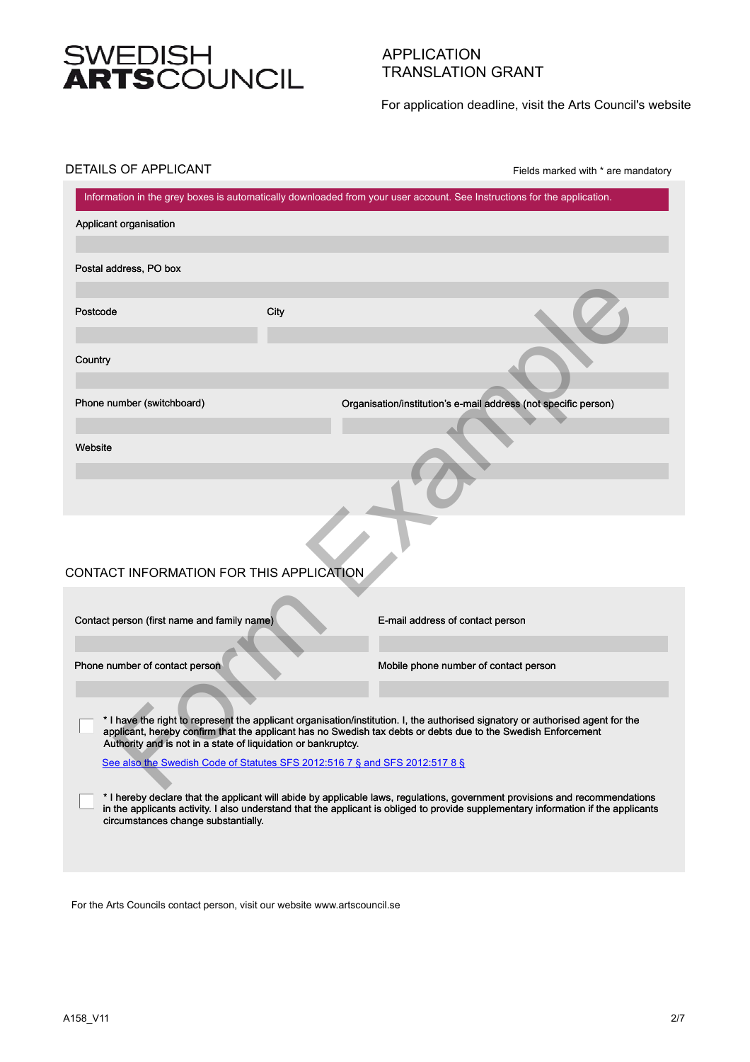# SWEDISH<br>**ARTS**COUNCIL

## APPLICATION TRANSLATION GRANT

For application deadline, visit the Arts Council's website

### DETAILS OF APPLICANT

Fields marked with \* are mandatory

|                                                                             |      | Information in the grey boxes is automatically downloaded from your user account. See Instructions for the application.                                                                                                                          |
|-----------------------------------------------------------------------------|------|--------------------------------------------------------------------------------------------------------------------------------------------------------------------------------------------------------------------------------------------------|
| Applicant organisation                                                      |      |                                                                                                                                                                                                                                                  |
| Postal address, PO box                                                      |      |                                                                                                                                                                                                                                                  |
|                                                                             |      |                                                                                                                                                                                                                                                  |
| Postcode                                                                    | City |                                                                                                                                                                                                                                                  |
| Country                                                                     |      |                                                                                                                                                                                                                                                  |
| Phone number (switchboard)                                                  |      | Organisation/institution's e-mail address (not specific person)                                                                                                                                                                                  |
| Website                                                                     |      |                                                                                                                                                                                                                                                  |
|                                                                             |      |                                                                                                                                                                                                                                                  |
| CONTACT INFORMATION FOR THIS APPLICATION                                    |      |                                                                                                                                                                                                                                                  |
| Contact person (first name and family name)                                 |      | E-mail address of contact person                                                                                                                                                                                                                 |
| Phone number of contact person                                              |      | Mobile phone number of contact person                                                                                                                                                                                                            |
| Authority and is not in a state of liquidation or bankruptcy.               |      | * I have the right to represent the applicant organisation/institution. I, the authorised signatory or authorised agent for the<br>applicant, hereby confirm that the applicant has no Swedish tax debts or debts due to the Swedish Enforcement |
| See also the Swedish Code of Statutes SFS 2012:516 7 § and SFS 2012:517 8 § |      | * I hereby declare that the applicant will abide by applicable laws, regulations, government provisions and recommendations                                                                                                                      |
| circumstances change substantially.                                         |      | in the applicants activity. I also understand that the applicant is obliged to provide supplementary information if the applicants                                                                                                               |
|                                                                             |      |                                                                                                                                                                                                                                                  |

For the Arts Councils contact person, visit our website www.artscouncil.se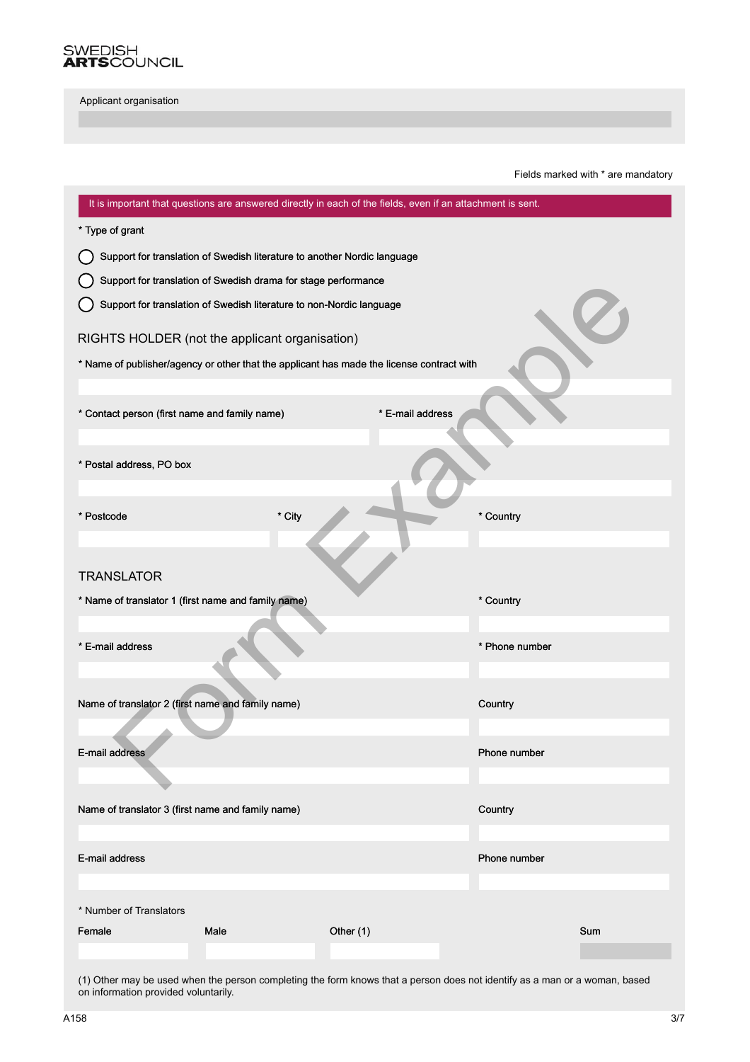

Fields marked with \* are mandatory

| It is important that questions are answered directly in each of the fields, even if an attachment is sent. |                                                                          |                  |                |  |  |
|------------------------------------------------------------------------------------------------------------|--------------------------------------------------------------------------|------------------|----------------|--|--|
| * Type of grant                                                                                            |                                                                          |                  |                |  |  |
|                                                                                                            | Support for translation of Swedish literature to another Nordic language |                  |                |  |  |
| Support for translation of Swedish drama for stage performance                                             |                                                                          |                  |                |  |  |
|                                                                                                            | Support for translation of Swedish literature to non-Nordic language     |                  |                |  |  |
| RIGHTS HOLDER (not the applicant organisation)                                                             |                                                                          |                  |                |  |  |
| * Name of publisher/agency or other that the applicant has made the license contract with                  |                                                                          |                  |                |  |  |
|                                                                                                            |                                                                          |                  |                |  |  |
| * Contact person (first name and family name)                                                              |                                                                          | * E-mail address |                |  |  |
|                                                                                                            |                                                                          |                  |                |  |  |
| * Postal address, PO box                                                                                   |                                                                          |                  |                |  |  |
|                                                                                                            |                                                                          |                  |                |  |  |
| * Postcode                                                                                                 | * City                                                                   |                  | * Country      |  |  |
|                                                                                                            |                                                                          |                  |                |  |  |
| <b>TRANSLATOR</b>                                                                                          |                                                                          |                  |                |  |  |
| * Name of translator 1 (first name and family name)                                                        |                                                                          |                  | * Country      |  |  |
|                                                                                                            |                                                                          |                  |                |  |  |
| * E-mail address                                                                                           |                                                                          |                  | * Phone number |  |  |
|                                                                                                            |                                                                          |                  |                |  |  |
| Name of translator 2 (first name and family name)                                                          |                                                                          |                  | Country        |  |  |
|                                                                                                            |                                                                          |                  |                |  |  |
| E-mail address                                                                                             |                                                                          |                  | Phone number   |  |  |
|                                                                                                            |                                                                          |                  |                |  |  |
| Name of translator 3 (first name and family name)                                                          |                                                                          |                  | Country        |  |  |
|                                                                                                            |                                                                          |                  |                |  |  |
| E-mail address                                                                                             |                                                                          |                  | Phone number   |  |  |
|                                                                                                            |                                                                          |                  |                |  |  |
| * Number of Translators                                                                                    |                                                                          |                  |                |  |  |
| Female<br>Male                                                                                             | Other (1)                                                                |                  | Sum            |  |  |
|                                                                                                            |                                                                          |                  |                |  |  |

(1) Other may be used when the person completing the form knows that a person does not identify as a man or a woman, based on information provided voluntarily.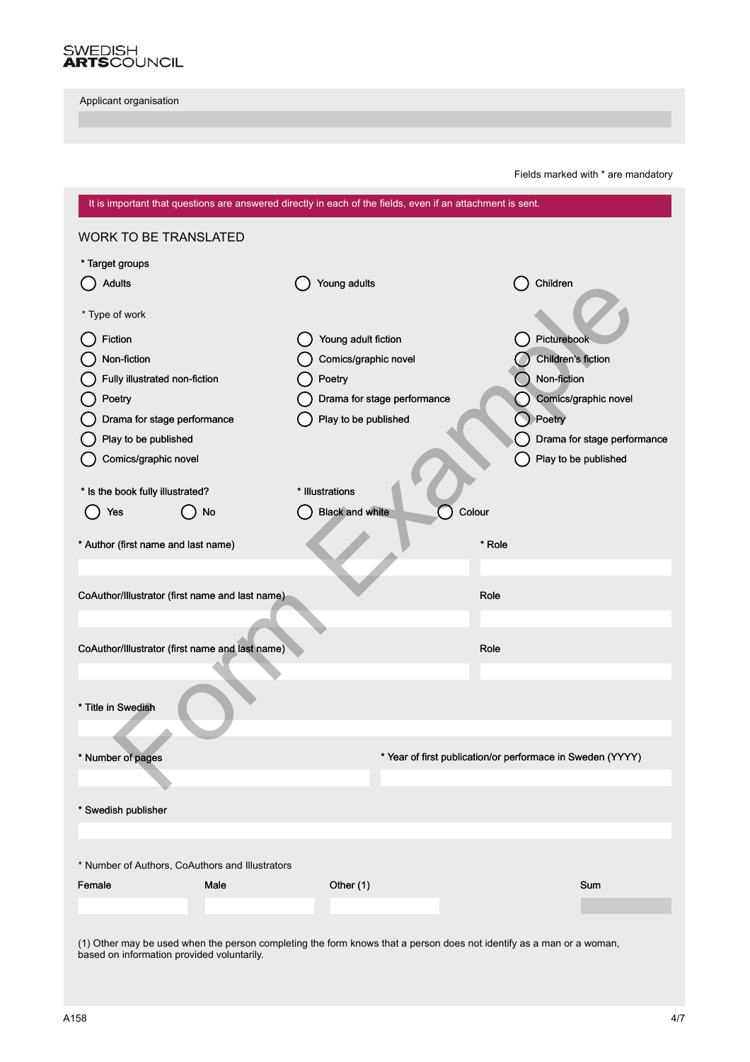

Fields marked with \* are mandatory

| It is important that questions are answered directly in each of the fields, even if an attachment is sent.                                                         |                             |                                                            |  |  |
|--------------------------------------------------------------------------------------------------------------------------------------------------------------------|-----------------------------|------------------------------------------------------------|--|--|
| <b>WORK TO BE TRANSLATED</b>                                                                                                                                       |                             |                                                            |  |  |
| * Target groups                                                                                                                                                    |                             |                                                            |  |  |
| <b>Adults</b>                                                                                                                                                      | Young adults                | Children                                                   |  |  |
|                                                                                                                                                                    |                             |                                                            |  |  |
| * Type of work                                                                                                                                                     |                             |                                                            |  |  |
| Fiction                                                                                                                                                            | Young adult fiction         | Picturebook                                                |  |  |
| Non-fiction                                                                                                                                                        | Comics/graphic novel        | Children's fiction                                         |  |  |
| Fully illustrated non-fiction                                                                                                                                      | Poetry                      | Non-fiction                                                |  |  |
| Poetry                                                                                                                                                             | Drama for stage performance | Comics/graphic novel                                       |  |  |
| Drama for stage performance                                                                                                                                        | Play to be published        | Poetry                                                     |  |  |
| Play to be published                                                                                                                                               |                             | Drama for stage performance                                |  |  |
| Comics/graphic novel                                                                                                                                               |                             | Play to be published                                       |  |  |
| * Is the book fully illustrated?                                                                                                                                   | * Illustrations             |                                                            |  |  |
| No                                                                                                                                                                 | <b>Black and white</b>      | Colour                                                     |  |  |
| Yes                                                                                                                                                                |                             |                                                            |  |  |
| * Author (first name and last name)                                                                                                                                |                             | * Role                                                     |  |  |
|                                                                                                                                                                    |                             |                                                            |  |  |
|                                                                                                                                                                    |                             |                                                            |  |  |
| CoAuthor/Illustrator (first name and last name)                                                                                                                    |                             | Role                                                       |  |  |
|                                                                                                                                                                    |                             |                                                            |  |  |
| CoAuthor/Illustrator (first name and last name)                                                                                                                    |                             | Role                                                       |  |  |
|                                                                                                                                                                    |                             |                                                            |  |  |
|                                                                                                                                                                    |                             |                                                            |  |  |
| * Title in Swedish                                                                                                                                                 |                             |                                                            |  |  |
|                                                                                                                                                                    |                             |                                                            |  |  |
|                                                                                                                                                                    |                             |                                                            |  |  |
| Number of pages                                                                                                                                                    |                             | * Year of first publication/or performace in Sweden (YYYY) |  |  |
|                                                                                                                                                                    |                             |                                                            |  |  |
| * Swedish publisher                                                                                                                                                |                             |                                                            |  |  |
|                                                                                                                                                                    |                             |                                                            |  |  |
|                                                                                                                                                                    |                             |                                                            |  |  |
| * Number of Authors, CoAuthors and Illustrators                                                                                                                    |                             |                                                            |  |  |
| Female<br>Male                                                                                                                                                     | Other (1)                   | Sum                                                        |  |  |
|                                                                                                                                                                    |                             |                                                            |  |  |
|                                                                                                                                                                    |                             |                                                            |  |  |
| (1) Other may be used when the person completing the form knows that a person does not identify as a man or a woman,<br>based on information provided voluntarily. |                             |                                                            |  |  |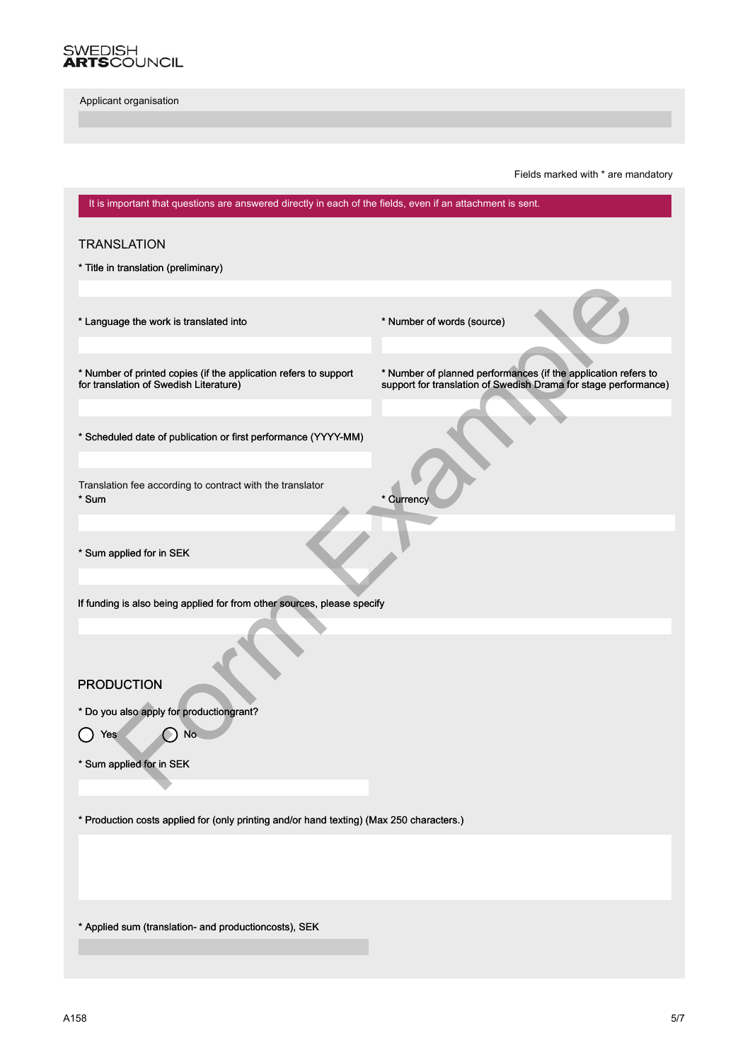

Fields marked with \* are mandatory

| It is important that questions are answered directly in each of the fields, even if an attachment is sent. |                                                                                                                                   |  |  |  |
|------------------------------------------------------------------------------------------------------------|-----------------------------------------------------------------------------------------------------------------------------------|--|--|--|
| <b>TRANSLATION</b>                                                                                         |                                                                                                                                   |  |  |  |
| * Title in translation (preliminary)                                                                       |                                                                                                                                   |  |  |  |
|                                                                                                            |                                                                                                                                   |  |  |  |
| * Language the work is translated into                                                                     | * Number of words (source)                                                                                                        |  |  |  |
| * Number of printed copies (if the application refers to support<br>for translation of Swedish Literature) | * Number of planned performances (if the application refers to<br>support for translation of Swedish Drama for stage performance) |  |  |  |
| * Scheduled date of publication or first performance (YYYY-MM)                                             |                                                                                                                                   |  |  |  |
| Translation fee according to contract with the translator<br>* Sum                                         | * Currency                                                                                                                        |  |  |  |
| * Sum applied for in SEK                                                                                   |                                                                                                                                   |  |  |  |
| If funding is also being applied for from other sources, please specify                                    |                                                                                                                                   |  |  |  |
|                                                                                                            |                                                                                                                                   |  |  |  |
| <b>PRODUCTION</b>                                                                                          |                                                                                                                                   |  |  |  |
| * Do you also apply for productiongrant?                                                                   |                                                                                                                                   |  |  |  |
| No<br>Yes                                                                                                  |                                                                                                                                   |  |  |  |
| Sum applied for in SEK                                                                                     |                                                                                                                                   |  |  |  |
| * Production costs applied for (only printing and/or hand texting) (Max 250 characters.)                   |                                                                                                                                   |  |  |  |
|                                                                                                            |                                                                                                                                   |  |  |  |
| * Applied sum (translation- and productioncosts), SEK                                                      |                                                                                                                                   |  |  |  |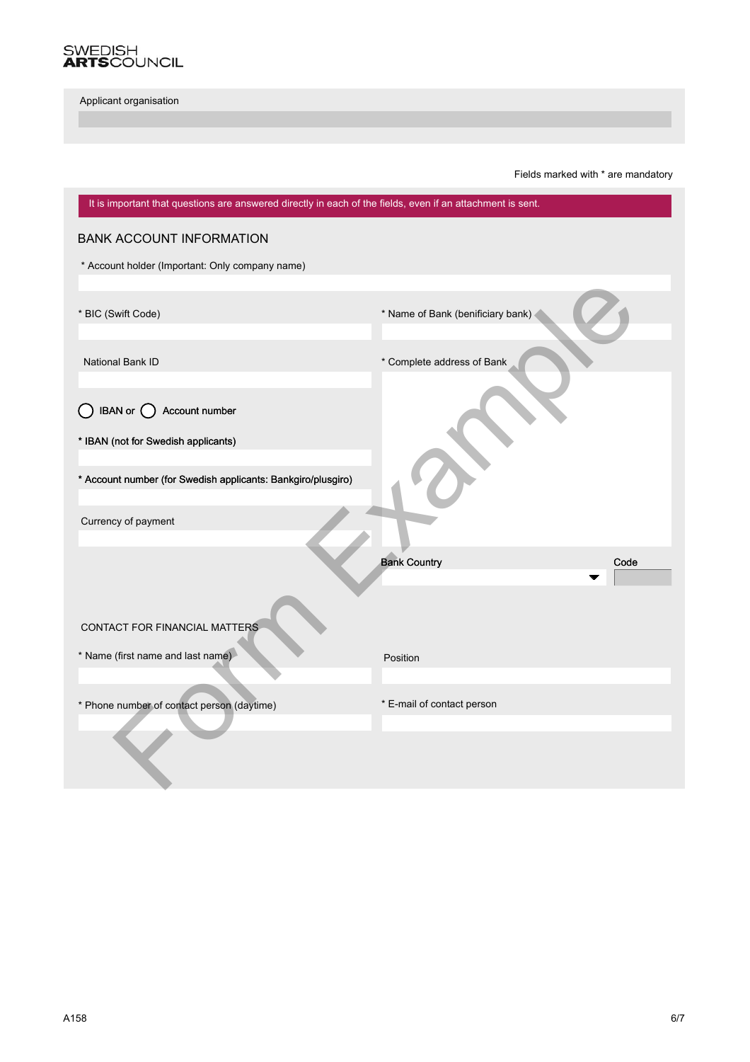

Fields marked with \* are mandatory

| It is important that questions are answered directly in each of the fields, even if an attachment is sent. |                                   |  |
|------------------------------------------------------------------------------------------------------------|-----------------------------------|--|
| <b>BANK ACCOUNT INFORMATION</b>                                                                            |                                   |  |
| * Account holder (Important: Only company name)                                                            |                                   |  |
|                                                                                                            |                                   |  |
| * BIC (Swift Code)                                                                                         | * Name of Bank (benificiary bank) |  |
|                                                                                                            |                                   |  |
| National Bank ID                                                                                           | * Complete address of Bank        |  |
|                                                                                                            |                                   |  |
| Account number<br><b>IBAN</b> or $\bigcap$                                                                 |                                   |  |
| * IBAN (not for Swedish applicants)                                                                        |                                   |  |
|                                                                                                            |                                   |  |
| * Account number (for Swedish applicants: Bankgiro/plusgiro)                                               |                                   |  |
| Currency of payment                                                                                        |                                   |  |
|                                                                                                            |                                   |  |
|                                                                                                            | <b>Bank Country</b><br>Code       |  |
|                                                                                                            |                                   |  |
|                                                                                                            |                                   |  |
| CONTACT FOR FINANCIAL MATTERS                                                                              |                                   |  |
| * Name (first name and last name)                                                                          | Position                          |  |
|                                                                                                            |                                   |  |
| * Phone number of contact person (daytime)                                                                 | * E-mail of contact person        |  |
|                                                                                                            |                                   |  |
|                                                                                                            |                                   |  |
|                                                                                                            |                                   |  |